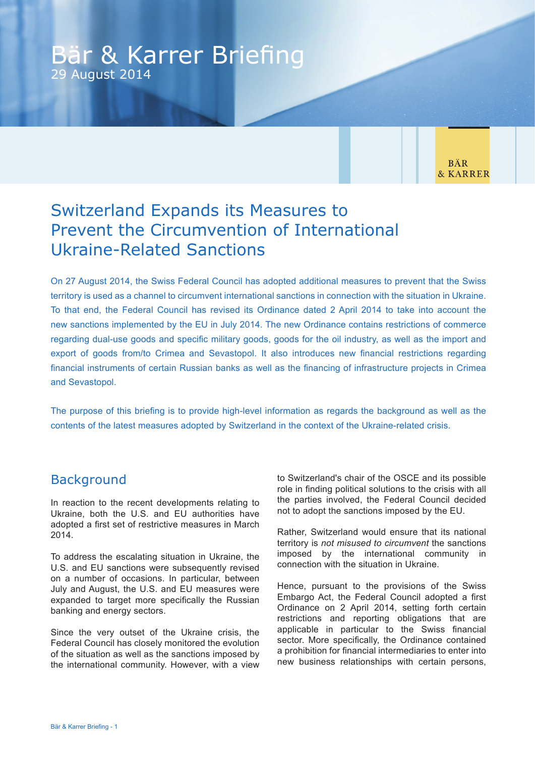## Bär & Karrer Briefing 29 August 2014

**BÄR** & KARRER

# Switzerland Expands its Measures to Prevent the Circumvention of International Ukraine-Related Sanctions

On 27 August 2014, the Swiss Federal Council has adopted additional measures to prevent that the Swiss territory is used as a channel to circumvent international sanctions in connection with the situation in Ukraine. To that end, the Federal Council has revised its Ordinance dated 2 April 2014 to take into account the new sanctions implemented by the EU in July 2014. The new Ordinance contains restrictions of commerce regarding dual-use goods and specific military goods, goods for the oil industry, as well as the import and export of goods from/to Crimea and Sevastopol. It also introduces new financial restrictions regarding financial instruments of certain Russian banks as well as the financing of infrastructure projects in Crimea and Sevastopol.

The purpose of this briefing is to provide high-level information as regards the background as well as the contents of the latest measures adopted by Switzerland in the context of the Ukraine-related crisis.

## Background

In reaction to the recent developments relating to Ukraine, both the U.S. and EU authorities have adopted a first set of restrictive measures in March 2014.

To address the escalating situation in Ukraine, the U.S. and EU sanctions were subsequently revised on a number of occasions. In particular, between July and August, the U.S. and EU measures were expanded to target more specifically the Russian banking and energy sectors.

Since the very outset of the Ukraine crisis, the Federal Council has closely monitored the evolution of the situation as well as the sanctions imposed by the international community. However, with a view to Switzerland's chair of the OSCE and its possible role in finding political solutions to the crisis with all the parties involved, the Federal Council decided not to adopt the sanctions imposed by the EU.

Rather, Switzerland would ensure that its national territory is *not misused to circumvent* the sanctions imposed by the international community in connection with the situation in Ukraine.

Hence, pursuant to the provisions of the Swiss Embargo Act, the Federal Council adopted a first Ordinance on 2 April 2014, setting forth certain restrictions and reporting obligations that are applicable in particular to the Swiss financial sector. More specifically, the Ordinance contained a prohibition for financial intermediaries to enter into new business relationships with certain persons,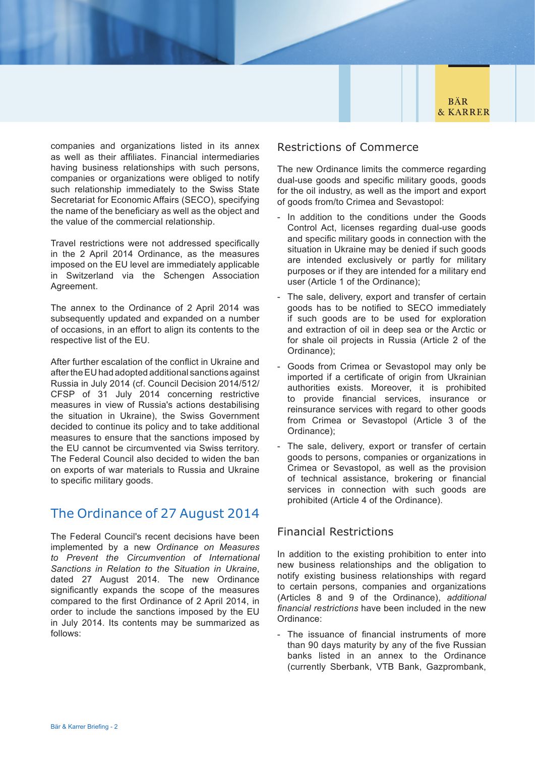**BÄR & KARRER** 

companies and organizations listed in its annex as well as their affiliates. Financial intermediaries having business relationships with such persons, companies or organizations were obliged to notify such relationship immediately to the Swiss State Secretariat for Economic Affairs (SECO), specifying the name of the beneficiary as well as the object and the value of the commercial relationship.

Travel restrictions were not addressed specifically in the 2 April 2014 Ordinance, as the measures imposed on the EU level are immediately applicable in Switzerland via the Schengen Association Agreement.

The annex to the Ordinance of 2 April 2014 was subsequently updated and expanded on a number of occasions, in an effort to align its contents to the respective list of the EU.

After further escalation of the conflict in Ukraine and after the EU had adopted additional sanctions against Russia in July 2014 (cf. Council Decision 2014/512/ CFSP of 31 July 2014 concerning restrictive measures in view of Russia's actions destabilising the situation in Ukraine), the Swiss Government decided to continue its policy and to take additional measures to ensure that the sanctions imposed by the EU cannot be circumvented via Swiss territory. The Federal Council also decided to widen the ban on exports of war materials to Russia and Ukraine to specific military goods.

## The Ordinance of 27 August 2014

The Federal Council's recent decisions have been implemented by a new *Ordinance on Measures to Prevent the Circumvention of International Sanctions in Relation to the Situation in Ukraine*, dated 27 August 2014. The new Ordinance significantly expands the scope of the measures compared to the first Ordinance of 2 April 2014, in order to include the sanctions imposed by the EU in July 2014. Its contents may be summarized as follows:

### Restrictions of Commerce

The new Ordinance limits the commerce regarding dual-use goods and specific military goods, goods for the oil industry, as well as the import and export of goods from/to Crimea and Sevastopol:

- In addition to the conditions under the Goods Control Act, licenses regarding dual-use goods and specific military goods in connection with the situation in Ukraine may be denied if such goods are intended exclusively or partly for military purposes or if they are intended for a military end user (Article 1 of the Ordinance);
- The sale, delivery, export and transfer of certain goods has to be notified to SECO immediately if such goods are to be used for exploration and extraction of oil in deep sea or the Arctic or for shale oil projects in Russia (Article 2 of the Ordinance);
- Goods from Crimea or Sevastopol may only be imported if a certificate of origin from Ukrainian authorities exists. Moreover, it is prohibited to provide financial services, insurance or reinsurance services with regard to other goods from Crimea or Sevastopol (Article 3 of the Ordinance);
- The sale, delivery, export or transfer of certain goods to persons, companies or organizations in Crimea or Sevastopol, as well as the provision of technical assistance, brokering or financial services in connection with such goods are prohibited (Article 4 of the Ordinance).

### Financial Restrictions

In addition to the existing prohibition to enter into new business relationships and the obligation to notify existing business relationships with regard to certain persons, companies and organizations (Articles 8 and 9 of the Ordinance), *additional financial restrictions* have been included in the new Ordinance:

- The issuance of financial instruments of more than 90 days maturity by any of the five Russian banks listed in an annex to the Ordinance (currently Sberbank, VTB Bank, Gazprombank,